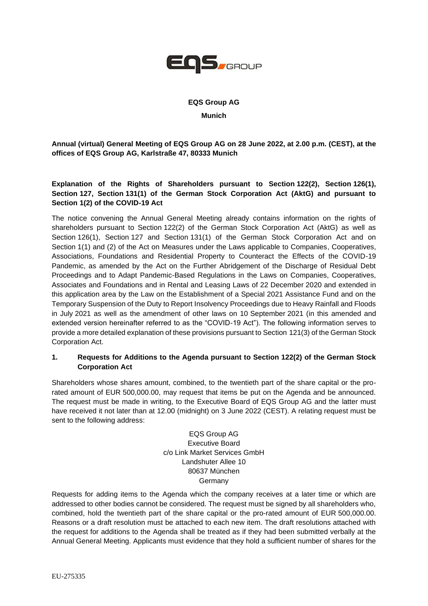

# **EQS Group AG Munich**

**Annual (virtual) General Meeting of EQS Group AG on 28 June 2022, at 2.00 p.m. (CEST), at the offices of EQS Group AG, Karlstraße 47, 80333 Munich**

### **Explanation of the Rights of Shareholders pursuant to Section 122(2), Section 126(1), Section 127, Section 131(1) of the German Stock Corporation Act (AktG) and pursuant to Section 1(2) of the COVID-19 Act**

The notice convening the Annual General Meeting already contains information on the rights of shareholders pursuant to Section 122(2) of the German Stock Corporation Act (AktG) as well as Section 126(1), Section 127 and Section 131(1) of the German Stock Corporation Act and on Section 1(1) and (2) of the Act on Measures under the Laws applicable to Companies, Cooperatives, Associations, Foundations and Residential Property to Counteract the Effects of the COVID-19 Pandemic, as amended by the Act on the Further Abridgement of the Discharge of Residual Debt Proceedings and to Adapt Pandemic-Based Regulations in the Laws on Companies, Cooperatives, Associates and Foundations and in Rental and Leasing Laws of 22 December 2020 and extended in this application area by the Law on the Establishment of a Special 2021 Assistance Fund and on the Temporary Suspension of the Duty to Report Insolvency Proceedings due to Heavy Rainfall and Floods in July 2021 as well as the amendment of other laws on 10 September 2021 (in this amended and extended version hereinafter referred to as the "COVID-19 Act"). The following information serves to provide a more detailed explanation of these provisions pursuant to Section 121(3) of the German Stock Corporation Act.

#### **1. Requests for Additions to the Agenda pursuant to Section 122(2) of the German Stock Corporation Act**

Shareholders whose shares amount, combined, to the twentieth part of the share capital or the prorated amount of EUR 500,000.00, may request that items be put on the Agenda and be announced. The request must be made in writing, to the Executive Board of EQS Group AG and the latter must have received it not later than at 12.00 (midnight) on 3 June 2022 (CEST). A relating request must be sent to the following address:

> EQS Group AG Executive Board c/o Link Market Services GmbH Landshuter Allee 10 80637 München Germany

Requests for adding items to the Agenda which the company receives at a later time or which are addressed to other bodies cannot be considered. The request must be signed by all shareholders who, combined, hold the twentieth part of the share capital or the pro-rated amount of EUR 500,000.00. Reasons or a draft resolution must be attached to each new item. The draft resolutions attached with the request for additions to the Agenda shall be treated as if they had been submitted verbally at the Annual General Meeting. Applicants must evidence that they hold a sufficient number of shares for the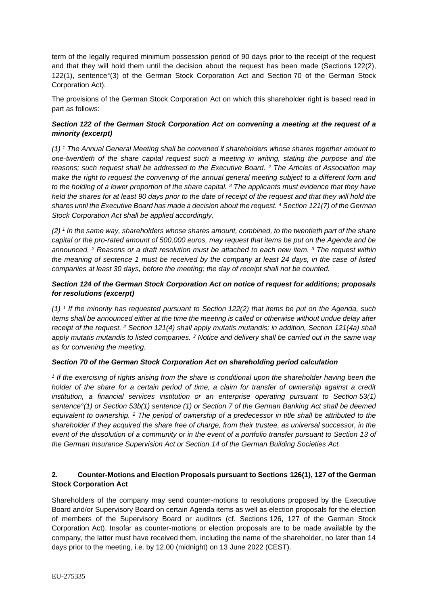term of the legally required minimum possession period of 90 days prior to the receipt of the request and that they will hold them until the decision about the request has been made (Sections 122(2), 122(1), sentence°(3) of the German Stock Corporation Act and Section 70 of the German Stock Corporation Act).

The provisions of the German Stock Corporation Act on which this shareholder right is based read in part as follows:

### *Section 122 of the German Stock Corporation Act on convening a meeting at the request of a minority (excerpt)*

*(1) <sup>1</sup> The Annual General Meeting shall be convened if shareholders whose shares together amount to one-twentieth of the share capital request such a meeting in writing, stating the purpose and the reasons; such request shall be addressed to the Executive Board. <sup>2</sup> The Articles of Association may make the right to request the convening of the annual general meeting subject to a different form and to the holding of a lower proportion of the share capital. <sup>3</sup> The applicants must evidence that they have held the shares for at least 90 days prior to the date of receipt of the request and that they will hold the shares until the Executive Board has made a decision about the request. <sup>4</sup> Section 121(7) of the German Stock Corporation Act shall be applied accordingly.*

*(2) <sup>1</sup> In the same way, shareholders whose shares amount, combined, to the twentieth part of the share capital or the pro-rated amount of 500,000 euros, may request that items be put on the Agenda and be announced. <sup>2</sup> Reasons or a draft resolution must be attached to each new item. <sup>3</sup> The request within the meaning of sentence 1 must be received by the company at least 24 days, in the case of listed companies at least 30 days, before the meeting; the day of receipt shall not be counted.*

### *Section 124 of the German Stock Corporation Act on notice of request for additions; proposals for resolutions (excerpt)*

*(1) <sup>1</sup> If the minority has requested pursuant to Section 122(2) that items be put on the Agenda, such items shall be announced either at the time the meeting is called or otherwise without undue delay after receipt of the request. <sup>2</sup> Section 121(4) shall apply mutatis mutandis; in addition, Section 121(4a) shall apply mutatis mutandis to listed companies. <sup>3</sup> Notice and delivery shall be carried out in the same way as for convening the meeting.*

#### *Section 70 of the German Stock Corporation Act on shareholding period calculation*

*1 If the exercising of rights arising from the share is conditional upon the shareholder having been the holder of the share for a certain period of time, a claim for transfer of ownership against a credit institution, a financial services institution or an enterprise operating pursuant to Section 53(1) sentence°(1) or Section 53b(1) sentence (1) or Section 7 of the German Banking Act shall be deemed equivalent to ownership. <sup>2</sup> The period of ownership of a predecessor in title shall be attributed to the shareholder if they acquired the share free of charge, from their trustee, as universal successor, in the event of the dissolution of a community or in the event of a portfolio transfer pursuant to Section 13 of the German Insurance Supervision Act or Section 14 of the German Building Societies Act.*

# **2. Counter-Motions and Election Proposals pursuant to Sections 126(1), 127 of the German Stock Corporation Act**

Shareholders of the company may send counter-motions to resolutions proposed by the Executive Board and/or Supervisory Board on certain Agenda items as well as election proposals for the election of members of the Supervisory Board or auditors (cf. Sections 126, 127 of the German Stock Corporation Act). Insofar as counter-motions or election proposals are to be made available by the company, the latter must have received them, including the name of the shareholder, no later than 14 days prior to the meeting, i.e. by 12.00 (midnight) on 13 June 2022 (CEST).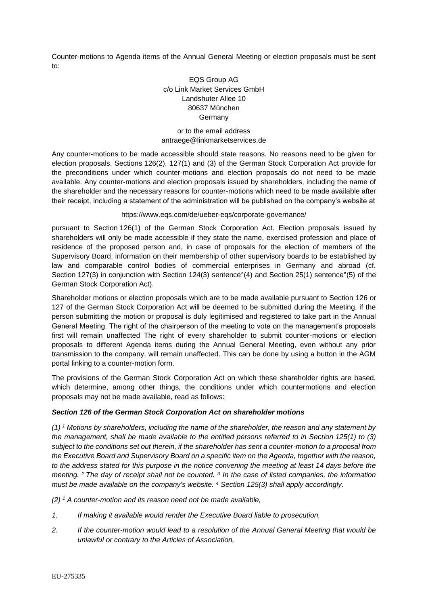Counter-motions to Agenda items of the Annual General Meeting or election proposals must be sent to:

# EQS Group AG c/o Link Market Services GmbH Landshuter Allee 10 80637 München **Germany**

#### or to the email address antraege@linkmarketservices.de

Any counter-motions to be made accessible should state reasons. No reasons need to be given for election proposals. Sections 126(2), 127(1) and (3) of the German Stock Corporation Act provide for the preconditions under which counter-motions and election proposals do not need to be made available. Any counter-motions and election proposals issued by shareholders, including the name of the shareholder and the necessary reasons for counter-motions which need to be made available after their receipt, including a statement of the administration will be published on the company's website at

https://www.eqs.com/de/ueber-eqs/corporate-governance/

pursuant to Section 126(1) of the German Stock Corporation Act. Election proposals issued by shareholders will only be made accessible if they state the name, exercised profession and place of residence of the proposed person and, in case of proposals for the election of members of the Supervisory Board, information on their membership of other supervisory boards to be established by law and comparable control bodies of commercial enterprises in Germany and abroad (cf. Section 127(3) in conjunction with Section 124(3) sentence°(4) and Section 25(1) sentence°(5) of the German Stock Corporation Act).

Shareholder motions or election proposals which are to be made available pursuant to Section 126 or 127 of the German Stock Corporation Act will be deemed to be submitted during the Meeting, if the person submitting the motion or proposal is duly legitimised and registered to take part in the Annual General Meeting. The right of the chairperson of the meeting to vote on the management's proposals first will remain unaffected The right of every shareholder to submit counter-motions or election proposals to different Agenda items during the Annual General Meeting, even without any prior transmission to the company, will remain unaffected. This can be done by using a button in the AGM portal linking to a counter-motion form.

The provisions of the German Stock Corporation Act on which these shareholder rights are based, which determine, among other things, the conditions under which countermotions and election proposals may not be made available, read as follows:

#### *Section 126 of the German Stock Corporation Act on shareholder motions*

*(1) <sup>1</sup> Motions by shareholders, including the name of the shareholder, the reason and any statement by the management, shall be made available to the entitled persons referred to in Section 125(1) to (3) subject to the conditions set out therein, if the shareholder has sent a counter-motion to a proposal from the Executive Board and Supervisory Board on a specific item on the Agenda, together with the reason, to the address stated for this purpose in the notice convening the meeting at least 14 days before the meeting. <sup>2</sup>The day of receipt shall not be counted. <sup>3</sup> In the case of listed companies, the information must be made available on the company's website. <sup>4</sup> Section 125(3) shall apply accordingly.*

*(2) <sup>1</sup> A counter-motion and its reason need not be made available,*

- *1. If making it available would render the Executive Board liable to prosecution,*
- *2. If the counter-motion would lead to a resolution of the Annual General Meeting that would be unlawful or contrary to the Articles of Association,*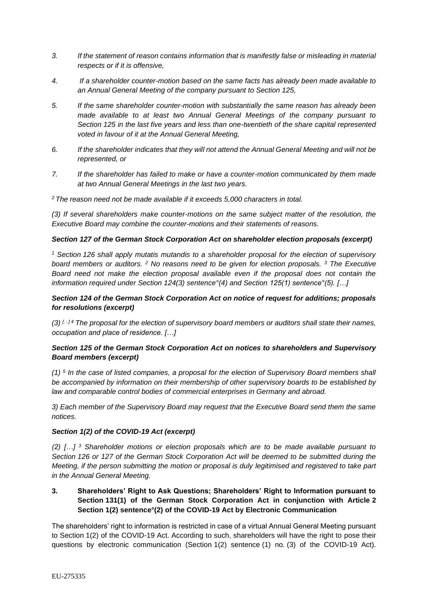- *3. If the statement of reason contains information that is manifestly false or misleading in material respects or if it is offensive,*
- *4. If a shareholder counter-motion based on the same facts has already been made available to an Annual General Meeting of the company pursuant to Section 125,*
- *5. If the same shareholder counter-motion with substantially the same reason has already been made available to at least two Annual General Meetings of the company pursuant to Section 125 in the last five years and less than one-twentieth of the share capital represented voted in favour of it at the Annual General Meeting,*
- *6. If the shareholder indicates that they will not attend the Annual General Meeting and will not be represented, or*
- *7. If the shareholder has failed to make or have a counter-motion communicated by them made at two Annual General Meetings in the last two years.*
- *<sup>2</sup>The reason need not be made available if it exceeds 5,000 characters in total.*

*(3) If several shareholders make counter-motions on the same subject matter of the resolution, the Executive Board may combine the counter-motions and their statements of reasons.*

#### *Section 127 of the German Stock Corporation Act on shareholder election proposals (excerpt)*

*<sup>1</sup> Section 126 shall apply mutatis mutandis to a shareholder proposal for the election of supervisory board members or auditors. <sup>2</sup> No reasons need to be given for election proposals. <sup>3</sup> The Executive Board need not make the election proposal available even if the proposal does not contain the information required under Section 124(3) sentence°(4) and Section 125(1) sentence°(5). […]*

#### *Section 124 of the German Stock Corporation Act on notice of request for additions; proposals for resolutions (excerpt)*

*(3) […] 4 The proposal for the election of supervisory board members or auditors shall state their names, occupation and place of residence. […]*

### *Section 125 of the German Stock Corporation Act on notices to shareholders and Supervisory Board members (excerpt)*

*(1) <sup>5</sup> In the case of listed companies, a proposal for the election of Supervisory Board members shall be accompanied by information on their membership of other supervisory boards to be established by law and comparable control bodies of commercial enterprises in Germany and abroad.*

*3) Each member of the Supervisory Board may request that the Executive Board send them the same notices.*

#### *Section 1(2) of the COVID-19 Act (excerpt)*

*(2) […] <sup>3</sup> Shareholder motions or election proposals which are to be made available pursuant to Section 126 or 127 of the German Stock Corporation Act will be deemed to be submitted during the Meeting, if the person submitting the motion or proposal is duly legitimised and registered to take part in the Annual General Meeting.*

**3. Shareholders' Right to Ask Questions; Shareholders' Right to Information pursuant to Section 131(1) of the German Stock Corporation Act in conjunction with Article 2 Section 1(2) sentence°(2) of the COVID-19 Act by Electronic Communication**

The shareholders' right to information is restricted in case of a virtual Annual General Meeting pursuant to Section 1(2) of the COVID-19 Act. According to such, shareholders will have the right to pose their questions by electronic communication (Section 1(2) sentence (1) no. (3) of the COVID-19 Act).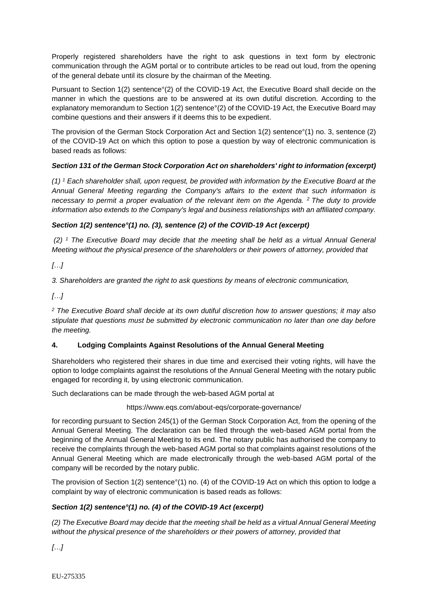Properly registered shareholders have the right to ask questions in text form by electronic communication through the AGM portal or to contribute articles to be read out loud, from the opening of the general debate until its closure by the chairman of the Meeting.

Pursuant to Section 1(2) sentence°(2) of the COVID-19 Act, the Executive Board shall decide on the manner in which the questions are to be answered at its own dutiful discretion. According to the explanatory memorandum to Section 1(2) sentence°(2) of the COVID-19 Act, the Executive Board may combine questions and their answers if it deems this to be expedient.

The provision of the German Stock Corporation Act and Section 1(2) sentence°(1) no. 3, sentence (2) of the COVID-19 Act on which this option to pose a question by way of electronic communication is based reads as follows:

# *Section 131 of the German Stock Corporation Act on shareholders' right to information (excerpt)*

*(1) <sup>1</sup> Each shareholder shall, upon request, be provided with information by the Executive Board at the Annual General Meeting regarding the Company's affairs to the extent that such information is necessary to permit a proper evaluation of the relevant item on the Agenda. <sup>2</sup>The duty to provide information also extends to the Company's legal and business relationships with an affiliated company.*

# *Section 1(2) sentence°(1) no. (3), sentence (2) of the COVID-19 Act (excerpt)*

*(2) <sup>1</sup> The Executive Board may decide that the meeting shall be held as a virtual Annual General Meeting without the physical presence of the shareholders or their powers of attorney, provided that*

*[…]*

*3. Shareholders are granted the right to ask questions by means of electronic communication,*

*[…]*

*<sup>2</sup> The Executive Board shall decide at its own dutiful discretion how to answer questions; it may also stipulate that questions must be submitted by electronic communication no later than one day before the meeting.* 

#### **4. Lodging Complaints Against Resolutions of the Annual General Meeting**

Shareholders who registered their shares in due time and exercised their voting rights, will have the option to lodge complaints against the resolutions of the Annual General Meeting with the notary public engaged for recording it, by using electronic communication.

Such declarations can be made through the web-based AGM portal at

https://www.eqs.com/about-eqs/corporate-governance/

for recording pursuant to Section 245(1) of the German Stock Corporation Act, from the opening of the Annual General Meeting. The declaration can be filed through the web-based AGM portal from the beginning of the Annual General Meeting to its end. The notary public has authorised the company to receive the complaints through the web-based AGM portal so that complaints against resolutions of the Annual General Meeting which are made electronically through the web-based AGM portal of the company will be recorded by the notary public.

The provision of Section 1(2) sentence<sup>o</sup>(1) no. (4) of the COVID-19 Act on which this option to lodge a complaint by way of electronic communication is based reads as follows:

# *Section 1(2) sentence°(1) no. (4) of the COVID-19 Act (excerpt)*

*(2) The Executive Board may decide that the meeting shall be held as a virtual Annual General Meeting without the physical presence of the shareholders or their powers of attorney, provided that*

*[…]*